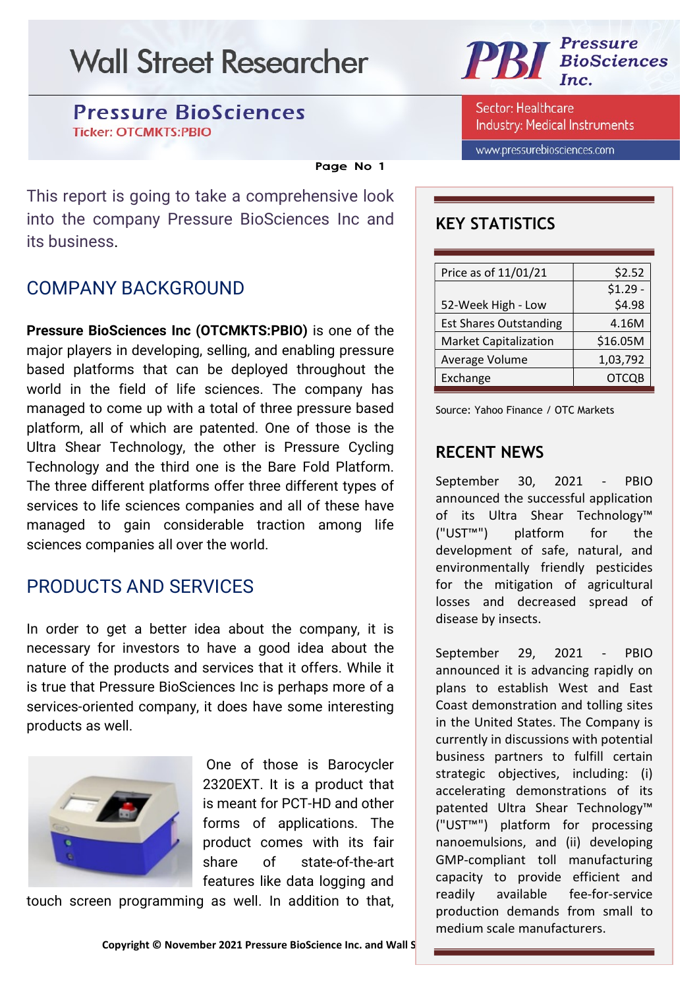### **Pressure BioSciences Ticker: OTCMKTS:PBIO**

#### Page No 1

This report is going to take a comprehensive look into the company Pressure BioSciences Inc and its business.

### COMPANY BACKGROUND

Pressure BioSciences Inc (OTCMKTS:PBIO) is one of the major players in developing, selling, and enabling pressure based platforms that can be deployed throughout the world in the field of life sciences. The company has managed to come up with a total of three pressure based platform, all of which are patented. One of those is the Ultra Shear Technology, the other is Pressure Cycling Technology and the third one is the Bare Fold Platform. The three different platforms offer three different types of services to life sciences companies and all of these have managed to gain considerable traction among life sciences companies all over the world.

### PRODUCTS AND SERVICES

In order to get a better idea about the company, it is necessary for investors to have a good idea about the nature of the products and services that it offers. While it is true that Pressure BioSciences Inc is perhaps more of a services-oriented company, it does have some interesting products as well.



 One of those is Barocycler 2320EXT. It is a product that is meant for PCT-HD and other forms of applications. The product comes with its fair share of state-of-the-art features like data logging and

touch screen programming as well. In addition to that,



Sector: Healthcare **Industry: Medical Instruments** 

www.pressurebiosciences.com

### KEY STATISTICS

| \$2.52       |
|--------------|
| $$1.29 -$    |
| \$4.98       |
| 4.16M        |
| \$16.05M     |
| 1,03,792     |
| <b>OTCOB</b> |
|              |

Source: Yahoo Finance / OTC Markets

### RECENT NEWS

September 30, 2021 - PBIO announced the successful application of its Ultra Shear Technology™ ("UST™") platform for the development of safe, natural, and environmentally friendly pesticides for the mitigation of agricultural losses and decreased spread of disease by insects.

September 29, 2021 - PBIO announced it is advancing rapidly on plans to establish West and East Coast demonstration and tolling sites in the United States. The Company is currently in discussions with potential business partners to fulfill certain strategic objectives, including: (i) accelerating demonstrations of its patented Ultra Shear Technology™ ("UST™") platform for processing nanoemulsions, and (ii) developing GMP-compliant toll manufacturing capacity to provide efficient and readily available fee-for-service production demands from small to medium scale manufacturers.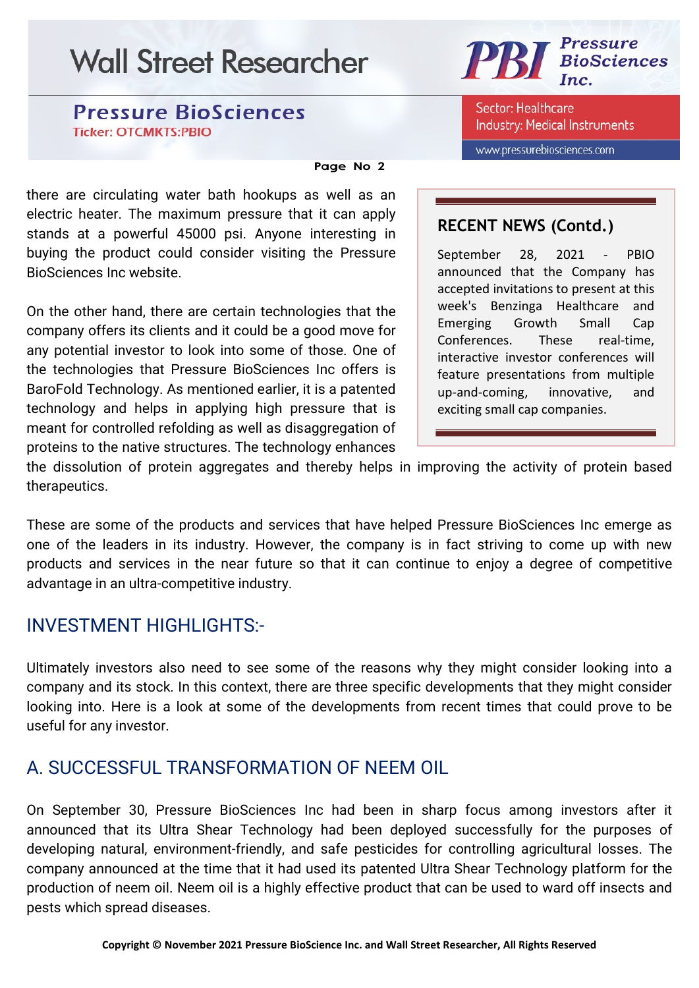### **Pressure BioSciences Ticker: OTCMKTS:PBIO**

#### Page No 2

there are circulating water bath hookups as well as an electric heater. The maximum pressure that it can apply stands at a powerful 45000 psi. Anyone interesting in buying the product could consider visiting the Pressure BioSciences Inc website.

On the other hand, there are certain technologies that the company offers its clients and it could be a good move for any potential investor to look into some of those. One of the technologies that Pressure BioSciences Inc offers is BaroFold Technology. As mentioned earlier, it is a patented technology and helps in applying high pressure that is meant for controlled refolding as well as disaggregation of proteins to the native structures. The technology enhances

#### **Pressure PBI BioSciences**

Sector: Healthcare **Industry: Medical Instruments** 

www.pressurebiosciences.com

### RECENT NEWS (Contd.)

September 28, 2021 - PBIO announced that the Company has accepted invitations to present at this week's Benzinga Healthcare and Emerging Growth Small Cap Conferences. These real-time, interactive investor conferences will feature presentations from multiple up-and-coming, innovative, and exciting small cap companies.

the dissolution of protein aggregates and thereby helps in improving the activity of protein based therapeutics.

These are some of the products and services that have helped Pressure BioSciences Inc emerge as one of the leaders in its industry. However, the company is in fact striving to come up with new products and services in the near future so that it can continue to enjoy a degree of competitive advantage in an ultra-competitive industry.

## INVESTMENT HIGHLIGHTS:-

Ultimately investors also need to see some of the reasons why they might consider looking into a company and its stock. In this context, there are three specific developments that they might consider looking into. Here is a look at some of the developments from recent times that could prove to be useful for any investor.

## A. SUCCESSFUL TRANSFORMATION OF NEEM OIL

On September 30, Pressure BioSciences Inc had been in sharp focus among investors after it announced that its Ultra Shear Technology had been deployed successfully for the purposes of developing natural, environment-friendly, and safe pesticides for controlling agricultural losses. The company announced at the time that it had used its patented Ultra Shear Technology platform for the production of neem oil. Neem oil is a highly effective product that can be used to ward off insects and pests which spread diseases.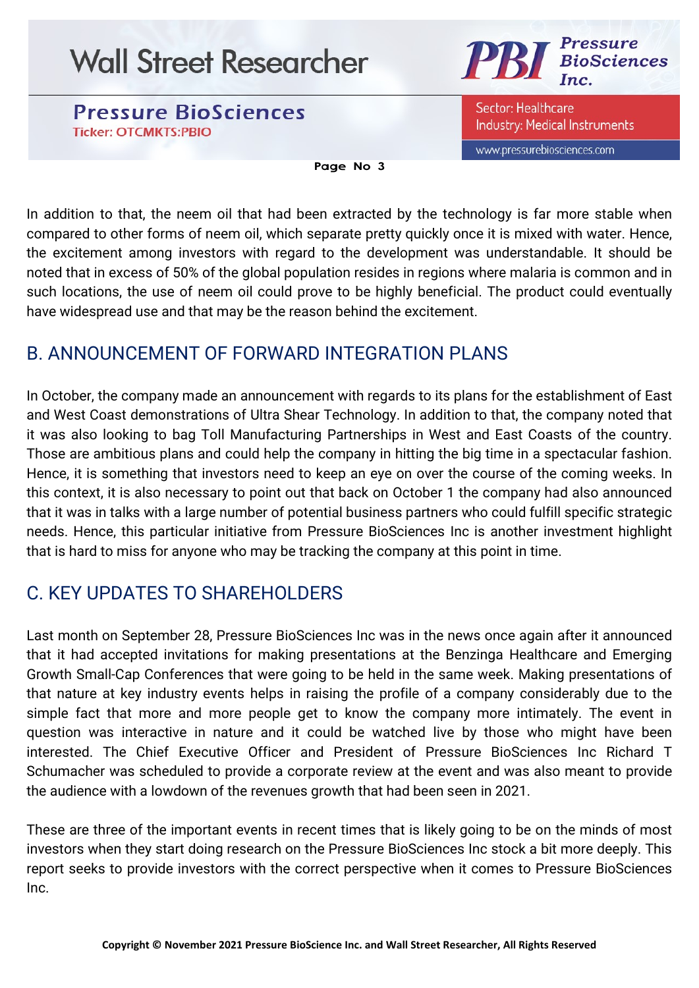**Pressure BioSciences Ticker: OTCMKTS:PBIO** 



Sector: Healthcare **Industry: Medical Instruments** 

www.pressurebiosciences.com

Page No 3

In addition to that, the neem oil that had been extracted by the technology is far more stable when compared to other forms of neem oil, which separate pretty quickly once it is mixed with water. Hence, the excitement among investors with regard to the development was understandable. It should be noted that in excess of 50% of the global population resides in regions where malaria is common and in such locations, the use of neem oil could prove to be highly beneficial. The product could eventually have widespread use and that may be the reason behind the excitement.

## B. ANNOUNCEMENT OF FORWARD INTEGRATION PLANS

In October, the company made an announcement with regards to its plans for the establishment of East and West Coast demonstrations of Ultra Shear Technology. In addition to that, the company noted that it was also looking to bag Toll Manufacturing Partnerships in West and East Coasts of the country. Those are ambitious plans and could help the company in hitting the big time in a spectacular fashion. Hence, it is something that investors need to keep an eye on over the course of the coming weeks. In this context, it is also necessary to point out that back on October 1 the company had also announced that it was in talks with a large number of potential business partners who could fulfill specific strategic needs. Hence, this particular initiative from Pressure BioSciences Inc is another investment highlight that is hard to miss for anyone who may be tracking the company at this point in time.

## C. KEY UPDATES TO SHAREHOLDERS

Last month on September 28, Pressure BioSciences Inc was in the news once again after it announced that it had accepted invitations for making presentations at the Benzinga Healthcare and Emerging Growth Small-Cap Conferences that were going to be held in the same week. Making presentations of that nature at key industry events helps in raising the profile of a company considerably due to the simple fact that more and more people get to know the company more intimately. The event in question was interactive in nature and it could be watched live by those who might have been interested. The Chief Executive Officer and President of Pressure BioSciences Inc Richard T Schumacher was scheduled to provide a corporate review at the event and was also meant to provide the audience with a lowdown of the revenues growth that had been seen in 2021.

These are three of the important events in recent times that is likely going to be on the minds of most investors when they start doing research on the Pressure BioSciences Inc stock a bit more deeply. This report seeks to provide investors with the correct perspective when it comes to Pressure BioSciences Inc.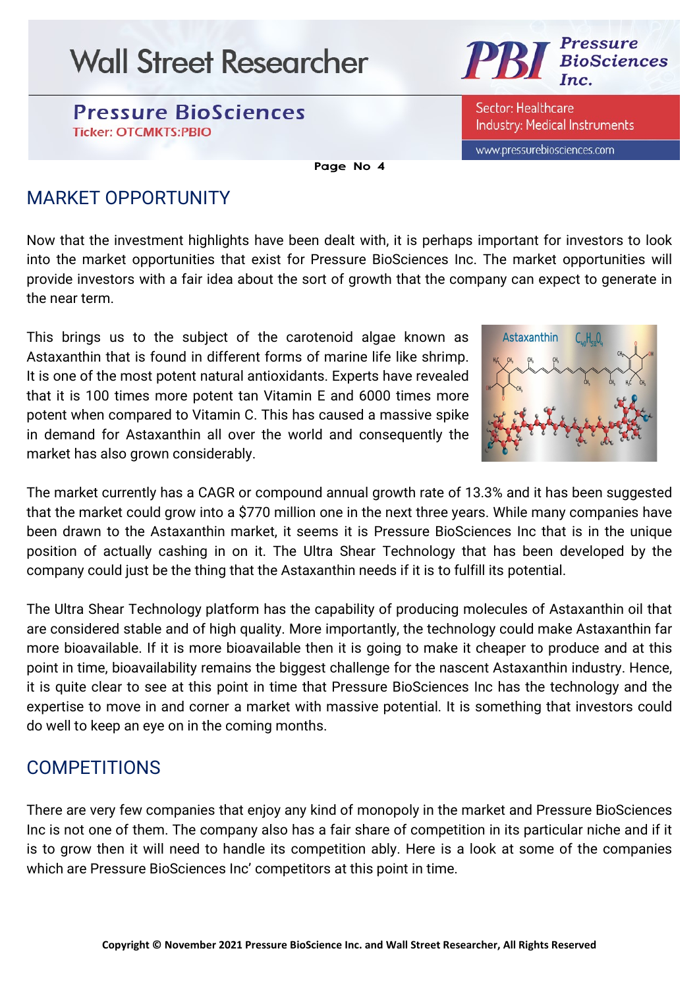**Pressure BioSciences Ticker: OTCMKTS:PBIO** 



Sector: Healthcare **Industry: Medical Instruments** 

www.pressurebiosciences.com

Page No 4

## MARKET OPPORTUNITY

Now that the investment highlights have been dealt with, it is perhaps important for investors to look into the market opportunities that exist for Pressure BioSciences Inc. The market opportunities will provide investors with a fair idea about the sort of growth that the company can expect to generate in the near term.

This brings us to the subject of the carotenoid algae known as Astaxanthin that is found in different forms of marine life like shrimp. It is one of the most potent natural antioxidants. Experts have revealed that it is 100 times more potent tan Vitamin E and 6000 times more potent when compared to Vitamin C. This has caused a massive spike in demand for Astaxanthin all over the world and consequently the market has also grown considerably.



The market currently has a CAGR or compound annual growth rate of 13.3% and it has been suggested that the market could grow into a \$770 million one in the next three years. While many companies have been drawn to the Astaxanthin market, it seems it is Pressure BioSciences Inc that is in the unique position of actually cashing in on it. The Ultra Shear Technology that has been developed by the company could just be the thing that the Astaxanthin needs if it is to fulfill its potential.

The Ultra Shear Technology platform has the capability of producing molecules of Astaxanthin oil that are considered stable and of high quality. More importantly, the technology could make Astaxanthin far more bioavailable. If it is more bioavailable then it is going to make it cheaper to produce and at this point in time, bioavailability remains the biggest challenge for the nascent Astaxanthin industry. Hence, it is quite clear to see at this point in time that Pressure BioSciences Inc has the technology and the expertise to move in and corner a market with massive potential. It is something that investors could do well to keep an eye on in the coming months.

## COMPETITIONS

There are very few companies that enjoy any kind of monopoly in the market and Pressure BioSciences Inc is not one of them. The company also has a fair share of competition in its particular niche and if it is to grow then it will need to handle its competition ably. Here is a look at some of the companies which are Pressure BioSciences Inc' competitors at this point in time.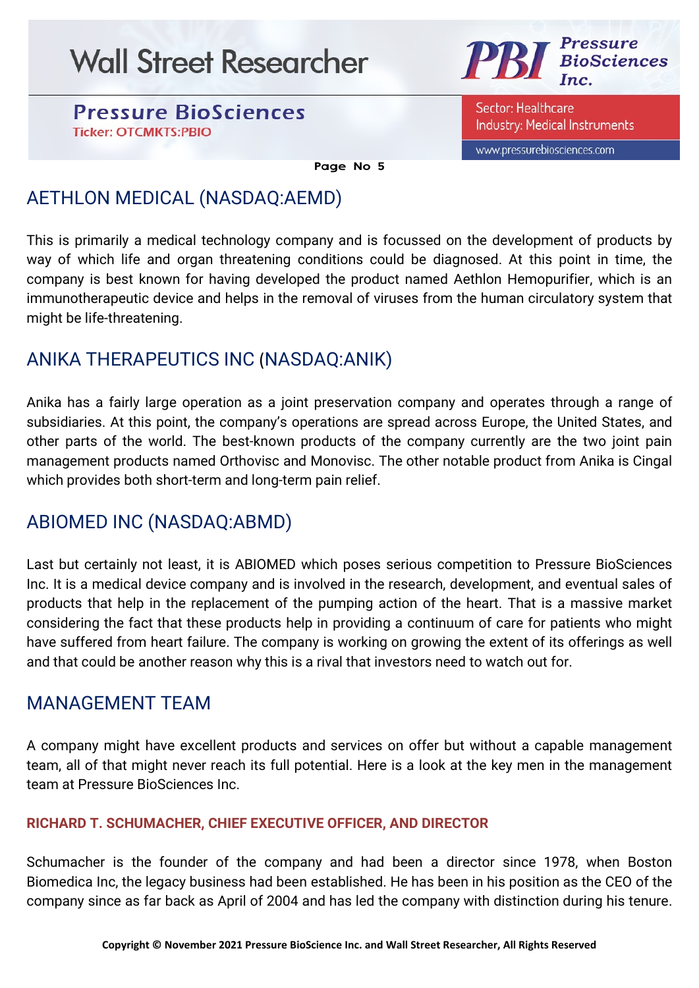**Pressure BioSciences Ticker: OTCMKTS:PBIO** 



Sector: Healthcare **Industry: Medical Instruments** 

www.pressurebiosciences.com

Page No 5

## AETHLON MEDICAL (NASDAQ:AEMD)

This is primarily a medical technology company and is focussed on the development of products by way of which life and organ threatening conditions could be diagnosed. At this point in time, the company is best known for having developed the product named Aethlon Hemopurifier, which is an immunotherapeutic device and helps in the removal of viruses from the human circulatory system that might be life-threatening.

## ANIKA THERAPEUTICS INC (NASDAQ:ANIK)

Anika has a fairly large operation as a joint preservation company and operates through a range of subsidiaries. At this point, the company's operations are spread across Europe, the United States, and other parts of the world. The best-known products of the company currently are the two joint pain management products named Orthovisc and Monovisc. The other notable product from Anika is Cingal which provides both short-term and long-term pain relief.

## ABIOMED INC (NASDAQ:ABMD)

Last but certainly not least, it is ABIOMED which poses serious competition to Pressure BioSciences Inc. It is a medical device company and is involved in the research, development, and eventual sales of products that help in the replacement of the pumping action of the heart. That is a massive market considering the fact that these products help in providing a continuum of care for patients who might have suffered from heart failure. The company is working on growing the extent of its offerings as well and that could be another reason why this is a rival that investors need to watch out for.

## MANAGEMENT TEAM

A company might have excellent products and services on offer but without a capable management team, all of that might never reach its full potential. Here is a look at the key men in the management team at Pressure BioSciences Inc.

### RICHARD T. SCHUMACHER, CHIEF EXECUTIVE OFFICER, AND DIRECTOR

Schumacher is the founder of the company and had been a director since 1978, when Boston Biomedica Inc, the legacy business had been established. He has been in his position as the CEO of the company since as far back as April of 2004 and has led the company with distinction during his tenure.